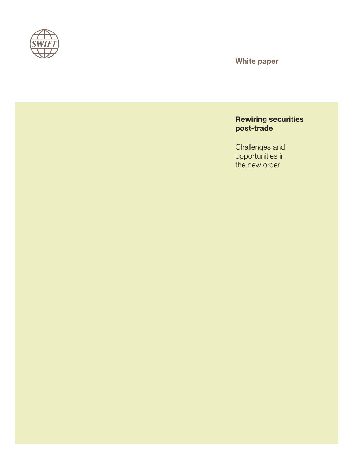

White paper

## Rewiring securities post-trade

Challenges and opportunities in the new order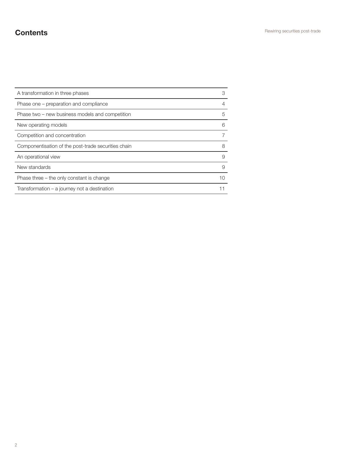# **Contents**

| A transformation in three phases                    | 3  |
|-----------------------------------------------------|----|
| Phase one – preparation and compliance              | 4  |
| Phase two – new business models and competition     | 5  |
| New operating models                                | 6  |
| Competition and concentration                       |    |
| Componentisation of the post-trade securities chain | 8  |
| An operational view                                 | 9  |
| New standards                                       | 9  |
| Phase three – the only constant is change           | 10 |
| Transformation – a journey not a destination        |    |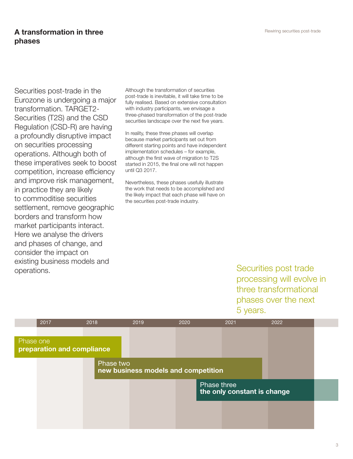## A transformation in three phases

Securities post-trade in the Eurozone is undergoing a major transformation. TARGET2- Securities (T2S) and the CSD Regulation (CSD-R) are having a profoundly disruptive impact on securities processing operations. Although both of these imperatives seek to boost competition, increase efficiency and improve risk management, in practice they are likely to commoditise securities settlement, remove geographic borders and transform how market participants interact. Here we analyse the drivers and phases of change, and consider the impact on existing business models and operations.

Although the transformation of securities post-trade is inevitable, it will take time to be fully realised. Based on extensive consultation with industry participants, we envisage a three-phased transformation of the post-trade securities landscape over the next five years.

In reality, these three phases will overlap because market participants set out from different starting points and have independent implementation schedules – for example, although the first wave of migration to T2S started in 2015, the final one will not happen until Q3 2017.

Nevertheless, these phases usefully illustrate the work that needs to be accomplished and the likely impact that each phase will have on the securities post-trade industry.

> Securities post trade processing will evolve in three transformational phases over the next 5 years.

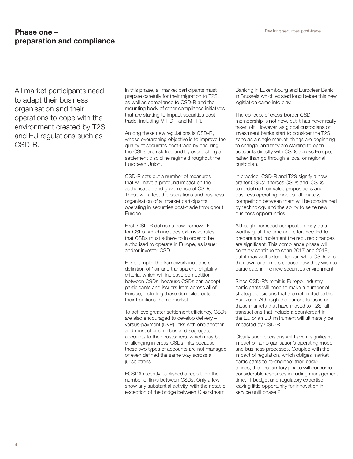### **Phase one –** Rewiring securities post-trade preparation and compliance

All market participants need to adapt their business organisation and their operations to cope with the environment created by T2S and EU regulations such as CSD-R.

In this phase, all market participants must prepare carefully for their migration to T2S, as well as compliance to CSD-R and the mounting body of other compliance initiatives that are starting to impact securities posttrade, including MIFID II and MIFIR.

Among these new regulations is CSD-R, whose overarching objective is to improve the quality of securities post-trade by ensuring the CSDs are risk free and by establishing a settlement discipline regime throughout the European Union.

CSD-R sets out a number of measures that will have a profound impact on the authorisation and governance of CSDs. These will affect the operations and business organisation of all market participants operating in securities post-trade throughout Europe.

First, CSD-R defines a new framework for CSDs, which includes extensive rules that CSDs must adhere to in order to be authorised to operate in Europe, as issuer and/or investor CSD.

For example, the framework includes a definition of 'fair and transparent' eligibility criteria, which will increase competition between CSDs, because CSDs can accept participants and issuers from across all of Europe, including those domiciled outside their traditional home market.

To achieve greater settlement efficiency, CSDs are also encouraged to develop delivery – versus-payment (DVP) links with one another, and must offer omnibus and segregated accounts to their customers, which may be challenging in cross-CSDs links because these two types of accounts are not managed or even defined the same way across all jurisdictions.

ECSDA recently published a report on the number of links between CSDs. Only a few show any substantial activity, with the notable exception of the bridge between Clearstream

Banking in Luxembourg and Euroclear Bank in Brussels which existed long before this new legislation came into play.

The concept of cross-border CSD membership is not new, but it has never really taken off. However, as global custodians or investment banks start to consider the T2S zone as a single market, things are beginning to change, and they are starting to open accounts directly with CSDs across Europe, rather than go through a local or regional custodian.

In practice, CSD-R and T2S signify a new era for CSDs: it forces CSDs and ICSDs to re-define their value propositions and business operating models. Ultimately, competition between them will be constrained by technology and the ability to seize new business opportunities.

Although increased competition may be a worthy goal, the time and effort needed to prepare and implement the required changes are significant. This compliance phase will certainly continue to span 2017 and 2018, but it may well extend longer, while CSDs and their own customers choose how they wish to participate in the new securities environment.

Since CSD-R's remit is Europe, industry participants will need to make a number of strategic decisions that are not limited to the Eurozone. Although the current focus is on those markets that have moved to T2S, all transactions that include a counterpart in the EU or an EU instrument will ultimately be impacted by CSD-R.

Clearly such decisions will have a significant impact on an organisation's operating model and business processes. Coupled with the impact of regulation, which obliges market participants to re-engineer their backoffices, this preparatory phase will consume considerable resources including management time, IT budget and regulatory expertise leaving little opportunity for innovation in service until phase 2.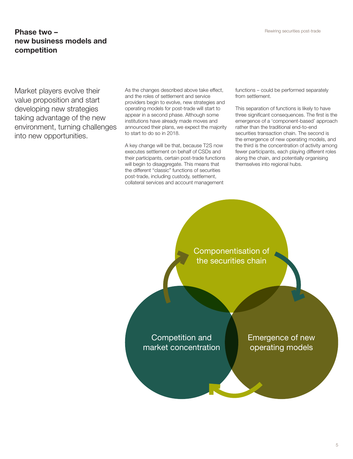## Phase two – Rewiring securities post-trade new business models and competition

Market players evolve their value proposition and start developing new strategies taking advantage of the new environment, turning challenges into new opportunities.

As the changes described above take effect, and the roles of settlement and service providers begin to evolve, new strategies and operating models for post-trade will start to appear in a second phase. Although some institutions have already made moves and announced their plans, we expect the majority to start to do so in 2018.

A key change will be that, because T2S now executes settlement on behalf of CSDs and their participants, certain post-trade functions will begin to disaggregate. This means that the different "classic" functions of securities post-trade, including custody, settlement, collateral services and account management

functions – could be performed separately from settlement.

This separation of functions is likely to have three significant consequences. The first is the emergence of a 'component-based' approach rather than the traditional end-to-end securities transaction chain. The second is the emergence of new operating models, and the third is the concentration of activity among fewer participants, each playing different roles along the chain, and potentially organising themselves into regional hubs.

Componentisation of the securities chain

Competition and market concentration Emergence of new operating models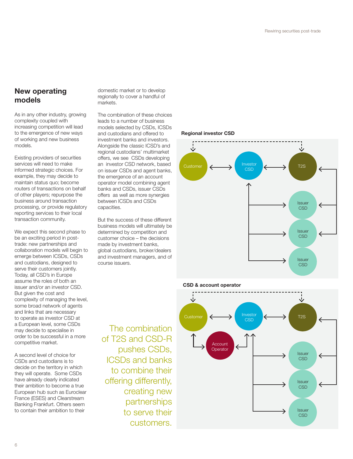## New operating models

As in any other industry, growing complexity coupled with increasing competition will lead to the emergence of new ways of working and new business models.

Existing providers of securities services will need to make informed strategic choices. For example, they may decide to maintain status quo; become routers of transactions on behalf of other players; repurpose the business around transaction processing, or provide regulatory reporting services to their local transaction community.

We expect this second phase to be an exciting period in posttrade: new partnerships and collaboration models will begin to emerge between ICSDs, CSDs and custodians, designed to serve their customers jointly. Today, all CSD's in Europe assume the roles of both an issuer and/or an investor CSD. But given the cost and complexity of managing the level, some broad network of agents and links that are necessary to operate as investor CSD at a European level, some CSDs may decide to specialise in order to be successful in a more competitive market.

A second level of choice for CSDs and custodians is to decide on the territory in which they will operate. Some CSDs have already clearly indicated their ambition to become a true European hub such as Euroclear France (ESES) and Clearstream Banking Frankfurt. Others seem to contain their ambition to their

domestic market or to develop regionally to cover a handful of markets.

The combination of these choices leads to a number of business models selected by CSDs, ICSDs and custodians and offered to investment banks and investors. Alongside the classic ICSD's and regional custodians' multimarket offers, we see CSDs developing an investor CSD network, based on issuer CSDs and agent banks, the emergence of an account operator model combining agent banks and CSDs, issuer CSDs offers as well as more synergies between ICSDs and CSDs capacities.

But the success of these different business models will ultimately be determined by competition and customer choice – the decisions made by investment banks, global custodians, broker/dealers and investment managers, and of course issuers.

The combination of T2S and CSD-R

pushes CSDs, ICSDs and banks to combine their offering differently,

> creating new partnerships to serve their customers.

Regional investor CSD



#### CSD & account operator

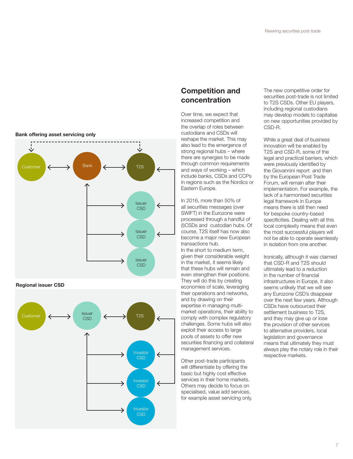



Regional issuer CSD



## Competition and concentration

Over time, we expect that increased competition and the overlap of roles between custodians and CSDs will reshape the market. This may also lead to the emergence of strong regional hubs – where there are synergies to be made through common requirements and ways of working – which include banks, CSDs and CCPs in regions such as the Nordics or Eastern Europe.

In 2016, more than 50% of all securities messages (over SWIFT) in the Eurozone were processed through a handful of (I)CSDs and custodian hubs. Of course, T2S itself has now also become a major new European transactions hub.

In the short to medium term, given their considerable weight in the market, it seems likely that these hubs will remain and even strengthen their positions. They will do this by creating economies of scale, leveraging their operations and networks, and by drawing on their expertise in managing multimarket operations, their ability to comply with complex regulatory challenges. Some hubs will also exploit their access to large pools of assets to offer new securities financing and collateral management services.

Other post-trade participants will differentiate by offering the basic but highly cost effective services in their home markets. Others may decide to focus on specialised, value add services, for example asset servicing only. The new competitive order for securities post-trade is not limited to T2S CSDs. Other EU players, including regional custodians may develop models to capitalise on new opportunities provided by CSD-R.

While a great deal of business innovation will be enabled by T2S and CSD-R, some of the legal and practical barriers, which were previously identified by the Giovannini report and then by the European Post Trade Forum, will remain after their implementation. For example, the lack of a harmonised securities legal framework in Europe means there is still then need for bespoke country-based specificities. Dealing with all this local complexity means that even the most successful players will not be able to operate seamlessly in isolation from one another.

Ironically, although it was claimed that CSD-R and T2S should ultimately lead to a reduction in the number of financial infrastructures in Europe, it also seems unlikely that we will see any Eurozone CSD's disappear over the next few years. Although CSDs have outsourced their settlement business to T2S, and they may give up or lose the provision of other services to alternative providers, local legislation and governance means that ultimately they must always play the notary role in their respective markets.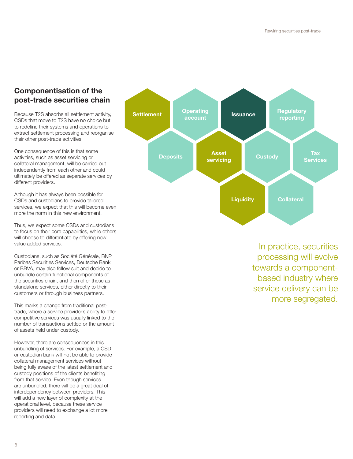# Componentisation of the post-trade securities chain

Because T2S absorbs all settlement activity, CSDs that move to T2S have no choice but to redefine their systems and operations to extract settlement processing and reorganise their other post-trade activities.

One consequence of this is that some activities, such as asset servicing or collateral management, will be carried out independently from each other and could ultimately be offered as separate services by different providers.

Although it has always been possible for CSDs and custodians to provide tailored services, we expect that this will become even more the norm in this new environment.

Thus, we expect some CSDs and custodians to focus on their core capabilities, while others will choose to differentiate by offering new value added services.

Custodians, such as Société Générale, BNP Paribas Securities Services, Deutsche Bank or BBVA, may also follow suit and decide to unbundle certain functional components of the securities chain, and then offer these as standalone services, either directly to their customers or through business partners.

This marks a change from traditional posttrade, where a service provider's ability to offer competitive services was usually linked to the number of transactions settled or the amount of assets held under custody.

However, there are consequences in this unbundling of services. For example, a CSD or custodian bank will not be able to provide collateral management services without being fully aware of the latest settlement and custody positions of the clients benefiting from that service. Even though services are unbundled, there will be a great deal of interdependency between providers. This will add a new layer of complexity at the operational level, because these service providers will need to exchange a lot more reporting and data.



In practice, securities processing will evolve towards a componentbased industry where service delivery can be more segregated.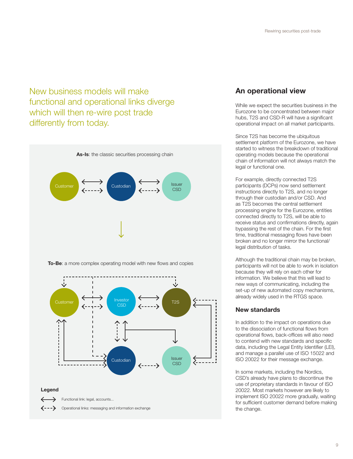New business models will make functional and operational links diverge which will then re-wire post trade differently from today.



To-Be: a more complex operating model with new flows and copies



## An operational view

While we expect the securities business in the Eurozone to be concentrated between major hubs, T2S and CSD-R will have a significant operational impact on all market participants.

Since T2S has become the ubiquitous settlement platform of the Eurozone, we have started to witness the breakdown of traditional operating models because the operational chain of information will not always match the legal or functional one.

For example, directly connected T2S participants (DCPs) now send settlement instructions directly to T2S, and no longer through their custodian and/or CSD. And as T2S becomes the central settlement processing engine for the Eurozone, entities connected directly to T2S, will be able to receive status and confirmations directly, again bypassing the rest of the chain. For the first time, traditional messaging flows have been broken and no longer mirror the functional/ legal distribution of tasks.

Although the traditional chain may be broken, participants will not be able to work in isolation because they will rely on each other for information. We believe that this will lead to new ways of communicating, including the set-up of new automated copy mechanisms, already widely used in the RTGS space.

### New standards

In addition to the impact on operations due to the dissociation of functional flows from operational flows, back-offices will also need to contend with new standards and specific data, including the Legal Entity Identifier (LEI), and manage a parallel use of ISO 15022 and ISO 20022 for their message exchange.

In some markets, including the Nordics, CSD's already have plans to discontinue the use of proprietary standards in favour of ISO 20022. Most markets however are likely to implement ISO 20022 more gradually, waiting for sufficient customer demand before making the change.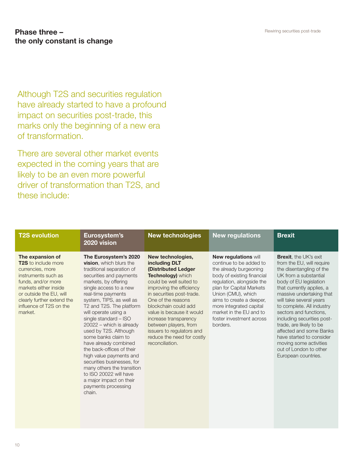## Phase three – Rewiring securities post-trade the only constant is change

Although T2S and securities regulation have already started to have a profound impact on securities post-trade, this marks only the beginning of a new era of transformation.

There are several other market events expected in the coming years that are likely to be an even more powerful driver of transformation than T2S, and these include:

| <b>T2S evolution</b>                                                                                                                                                                                                                    | Eurosystem's<br>2020 vision                                                                                                                                                                                                                                                                                                                                                                                                                                                                                                                                                                                     | <b>New technologies</b>                                                                                                                                                                                                                                                                                                                                                              | <b>New regulations</b>                                                                                                                                                                                                                                                                                                  | <b>Brexit</b>                                                                                                                                                                                                                                                                                                                                                                                                                                                                  |
|-----------------------------------------------------------------------------------------------------------------------------------------------------------------------------------------------------------------------------------------|-----------------------------------------------------------------------------------------------------------------------------------------------------------------------------------------------------------------------------------------------------------------------------------------------------------------------------------------------------------------------------------------------------------------------------------------------------------------------------------------------------------------------------------------------------------------------------------------------------------------|--------------------------------------------------------------------------------------------------------------------------------------------------------------------------------------------------------------------------------------------------------------------------------------------------------------------------------------------------------------------------------------|-------------------------------------------------------------------------------------------------------------------------------------------------------------------------------------------------------------------------------------------------------------------------------------------------------------------------|--------------------------------------------------------------------------------------------------------------------------------------------------------------------------------------------------------------------------------------------------------------------------------------------------------------------------------------------------------------------------------------------------------------------------------------------------------------------------------|
| The expansion of<br><b>T2S</b> to include more<br>currencies, more<br>instruments such as<br>funds, and/or more<br>markets either inside<br>or outside the EU, will<br>clearly further extend the<br>influence of T2S on the<br>market. | The Eurosystem's 2020<br><b>vision.</b> which blurs the<br>traditional separation of<br>securities and payments<br>markets, by offering<br>single access to a new<br>real-time payments<br>system, TIPS, as well as<br>T2 and T2S. The platform<br>will operate using a<br>single standard - ISO<br>20022 - which is already<br>used by T2S. Although<br>some banks claim to<br>have already combined<br>the back-offices of their<br>high value payments and<br>securities businesses, for<br>many others the transition<br>to ISO 20022 will have<br>a major impact on their<br>payments processing<br>chain. | New technologies,<br>including DLT<br>(Distributed Ledger<br><b>Technology)</b> which<br>could be well suited to<br>improving the efficiency<br>in securities post-trade.<br>One of the reasons<br>blockchain could add<br>value is because it would<br>increase transparency<br>between players, from<br>issuers to regulators and<br>reduce the need for costly<br>reconciliation. | <b>New regulations will</b><br>continue to be added to<br>the already burgeoning<br>body of existing financial<br>regulation, alongside the<br>plan for Capital Markets<br>Union (CMU), which<br>aims to create a deeper,<br>more integrated capital<br>market in the EU and to<br>foster investment across<br>borders. | <b>Brexit.</b> the UK's exit<br>from the EU, will require<br>the disentangling of the<br>UK from a substantial<br>body of EU legislation<br>that currently applies, a<br>massive undertaking that<br>will take several years<br>to complete. All industry<br>sectors and functions.<br>including securities post-<br>trade, are likely to be<br>affected and some Banks<br>have started to consider<br>moving some activities<br>out of London to other<br>European countries. |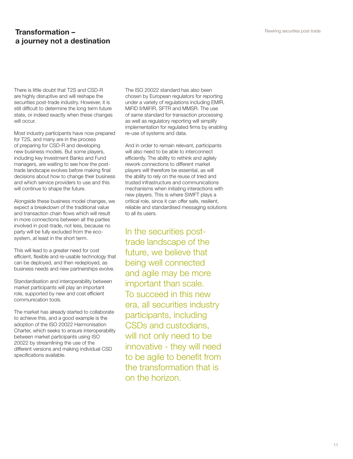## Transformation – a journey not a destination

There is little doubt that T2S and CSD-R are highly disruptive and will reshape the securities post-trade industry. However, it is still difficult to determine the long term future state, or indeed exactly when these changes will occur.

Most industry participants have now prepared for T2S, and many are in the process of preparing for CSD-R and developing new business models. But some players, including key Investment Banks and Fund managers, are waiting to see how the posttrade landscape evolves before making final decisions about how to change their business and which service providers to use and this will continue to shape the future.

Alongside these business model changes, we expect a breakdown of the traditional value and transaction chain flows which will result in more connections between all the parties involved in post-trade, not less, because no party will be fully excluded from the ecosystem, at least in the short term.

This will lead to a greater need for cost efficient, flexible and re-usable technology that can be deployed, and then redeployed, as business needs and new partnerships evolve.

Standardisation and interoperability between market participants will play an important role, supported by new and cost efficient communication tools.

The market has already started to collaborate to achieve this, and a good example is the adoption of the ISO 20022 Harmonisation Charter, which seeks to ensure interoperability between market participants using ISO 20022 by streamlining the use of the different versions and making individual CSD specifications available.

The ISO 20022 standard has also been chosen by European regulators for reporting under a variety of regulations including EMIR, MiFID II/MiFIR, SFTR and MMSR. The use of same standard for transaction processing as well as regulatory reporting will simplify implementation for regulated firms by enabling re-use of systems and data.

And in order to remain relevant, participants will also need to be able to interconnect efficiently. The ability to rethink and agilely rework connections to different market players will therefore be essential, as will the ability to rely on the reuse of tried and trusted infrastructure and communications mechanisms when initiating interactions with new players. This is where SWIFT plays a critical role, since it can offer safe, resilient, reliable and standardised messaging solutions to all its users.

In the securities posttrade landscape of the future, we believe that being well connected and agile may be more important than scale. To succeed in this new era, all securities industry participants, including CSDs and custodians, will not only need to be innovative - they will need to be agile to benefit from the transformation that is on the horizon.